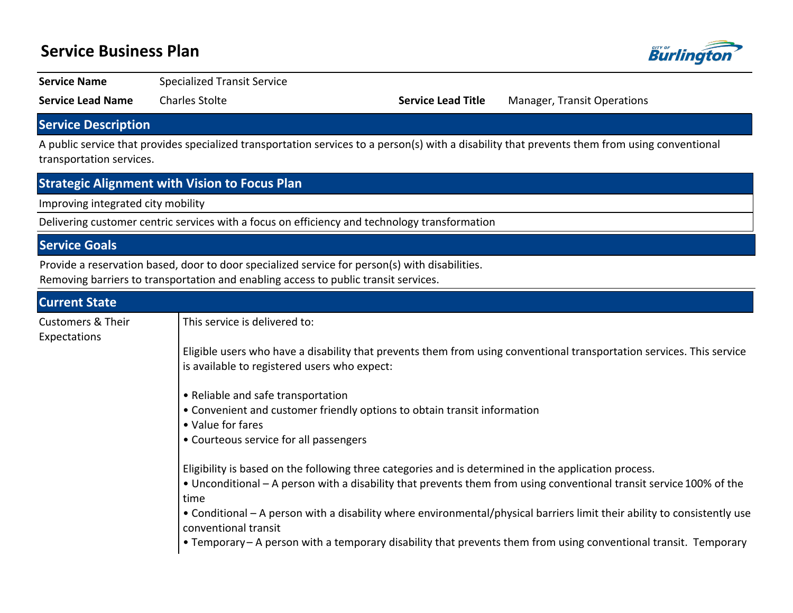# **Service Business Plan**



**Service Name** Specialized Transit Service

**Service Lead Name** Charles Stolte **Service Lead Title** Manager, Transit Operations

## **Service Description**

A public service that provides specialized transportation services to a person(s) with a disability that prevents them from using conventional transportation services.

#### **Strategic Alignment with Vision to Focus Plan**

Improving integrated city mobility

Delivering customer centric services with a focus on efficiency and technology transformation

## **Service Goals**

Provide a reservation based, door to door specialized service for person(s) with disabilities.

Removing barriers to transportation and enabling access to public transit services.

| <b>Current State</b>                         |                                                                                                                                                                                                                                     |  |  |  |  |  |
|----------------------------------------------|-------------------------------------------------------------------------------------------------------------------------------------------------------------------------------------------------------------------------------------|--|--|--|--|--|
| <b>Customers &amp; Their</b><br>Expectations | This service is delivered to:                                                                                                                                                                                                       |  |  |  |  |  |
|                                              | Eligible users who have a disability that prevents them from using conventional transportation services. This service<br>is available to registered users who expect:                                                               |  |  |  |  |  |
|                                              | • Reliable and safe transportation<br>• Convenient and customer friendly options to obtain transit information<br>• Value for fares<br>• Courteous service for all passengers                                                       |  |  |  |  |  |
|                                              | Eligibility is based on the following three categories and is determined in the application process.<br>• Unconditional – A person with a disability that prevents them from using conventional transit service 100% of the<br>time |  |  |  |  |  |
|                                              | • Conditional – A person with a disability where environmental/physical barriers limit their ability to consistently use<br>conventional transit                                                                                    |  |  |  |  |  |
|                                              | • Temporary – A person with a temporary disability that prevents them from using conventional transit. Temporary                                                                                                                    |  |  |  |  |  |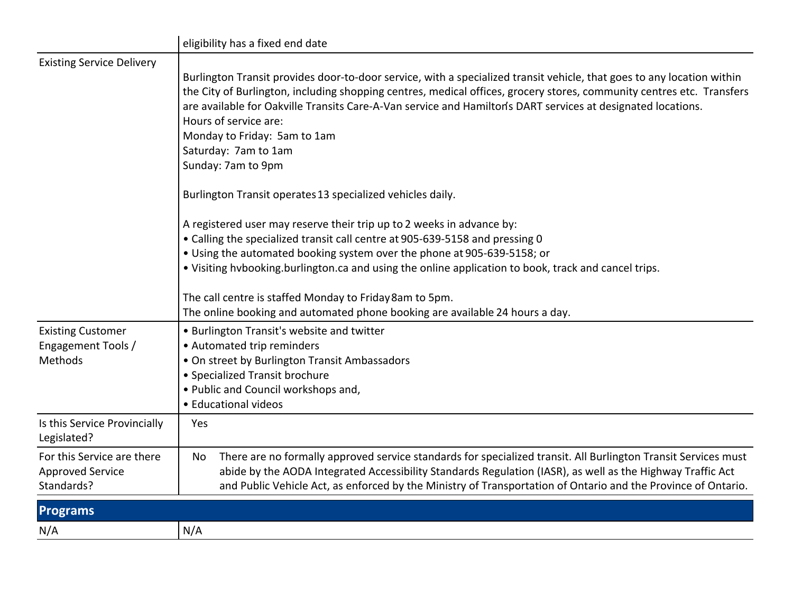|                                                                     | eligibility has a fixed end date                                                                                                                                                                                                                                                                                                                                                                                                                                                                                                                                                                                                                                                                                                                                                                                                                                                                                                            |  |  |  |  |  |  |  |
|---------------------------------------------------------------------|---------------------------------------------------------------------------------------------------------------------------------------------------------------------------------------------------------------------------------------------------------------------------------------------------------------------------------------------------------------------------------------------------------------------------------------------------------------------------------------------------------------------------------------------------------------------------------------------------------------------------------------------------------------------------------------------------------------------------------------------------------------------------------------------------------------------------------------------------------------------------------------------------------------------------------------------|--|--|--|--|--|--|--|
| <b>Existing Service Delivery</b>                                    | Burlington Transit provides door-to-door service, with a specialized transit vehicle, that goes to any location within<br>the City of Burlington, including shopping centres, medical offices, grocery stores, community centres etc. Transfers<br>are available for Oakville Transits Care-A-Van service and Hamilton's DART services at designated locations.<br>Hours of service are:<br>Monday to Friday: 5am to 1am<br>Saturday: 7am to 1am<br>Sunday: 7am to 9pm<br>Burlington Transit operates 13 specialized vehicles daily.<br>A registered user may reserve their trip up to 2 weeks in advance by:<br>• Calling the specialized transit call centre at 905-639-5158 and pressing 0<br>• Using the automated booking system over the phone at 905-639-5158; or<br>. Visiting hvbooking.burlington.ca and using the online application to book, track and cancel trips.<br>The call centre is staffed Monday to Friday 8am to 5pm. |  |  |  |  |  |  |  |
| <b>Existing Customer</b><br>Engagement Tools /<br>Methods           | The online booking and automated phone booking are available 24 hours a day.<br>• Burlington Transit's website and twitter<br>• Automated trip reminders<br>• On street by Burlington Transit Ambassadors<br>• Specialized Transit brochure<br>• Public and Council workshops and,<br>• Educational videos                                                                                                                                                                                                                                                                                                                                                                                                                                                                                                                                                                                                                                  |  |  |  |  |  |  |  |
| Is this Service Provincially<br>Legislated?                         | Yes                                                                                                                                                                                                                                                                                                                                                                                                                                                                                                                                                                                                                                                                                                                                                                                                                                                                                                                                         |  |  |  |  |  |  |  |
| For this Service are there<br><b>Approved Service</b><br>Standards? | There are no formally approved service standards for specialized transit. All Burlington Transit Services must<br>No<br>abide by the AODA Integrated Accessibility Standards Regulation (IASR), as well as the Highway Traffic Act<br>and Public Vehicle Act, as enforced by the Ministry of Transportation of Ontario and the Province of Ontario.                                                                                                                                                                                                                                                                                                                                                                                                                                                                                                                                                                                         |  |  |  |  |  |  |  |
| <b>Programs</b>                                                     |                                                                                                                                                                                                                                                                                                                                                                                                                                                                                                                                                                                                                                                                                                                                                                                                                                                                                                                                             |  |  |  |  |  |  |  |
| N/A                                                                 | N/A                                                                                                                                                                                                                                                                                                                                                                                                                                                                                                                                                                                                                                                                                                                                                                                                                                                                                                                                         |  |  |  |  |  |  |  |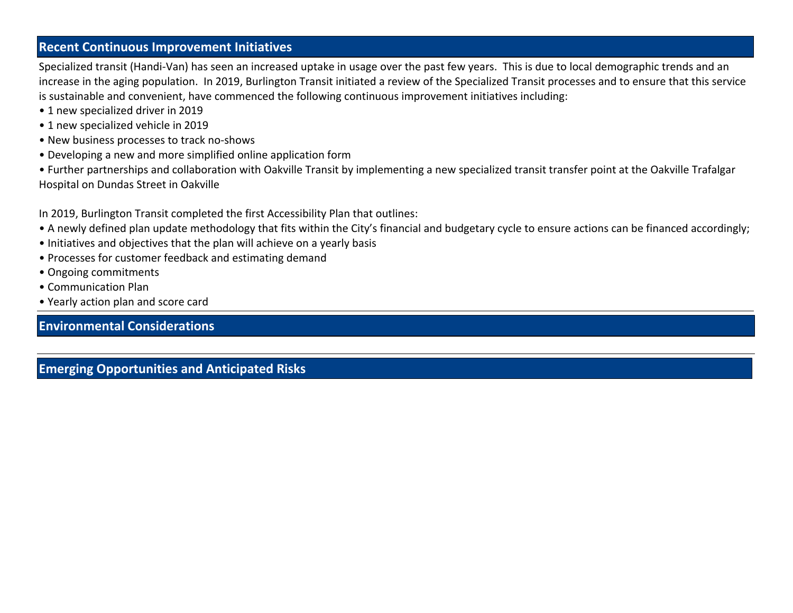#### **Recent Continuous Improvement Initiatives**

Specialized transit (Handi-Van) has seen an increased uptake in usage over the past few years. This is due to local demographic trends and an increase in the aging population. In 2019, Burlington Transit initiated a review of the Specialized Transit processes and to ensure that this service is sustainable and convenient, have commenced the following continuous improvement initiatives including:

- 1 new specialized driver in 2019
- 1 new specialized vehicle in 2019
- New business processes to track no-shows
- Developing a new and more simplified online application form
- ͻFurther partnerships and collaboration with Oakville Transit by implementing a new specialized transit transfer point at the Oakville Trafalgar Hospital on Dundas Street in Oakville

In 2019, Burlington Transit completed the first Accessibility Plan that outlines:

- A newly defined plan update methodology that fits within the City's financial and budgetary cycle to ensure actions can be financed accordingly;
- Initiatives and objectives that the plan will achieve on a yearly basis
- Processes for customer feedback and estimating demand
- Ongoing commitments
- Communication Plan
- Yearly action plan and score card

## **Environmental Considerations**

**Emerging Opportunities and Anticipated Risks**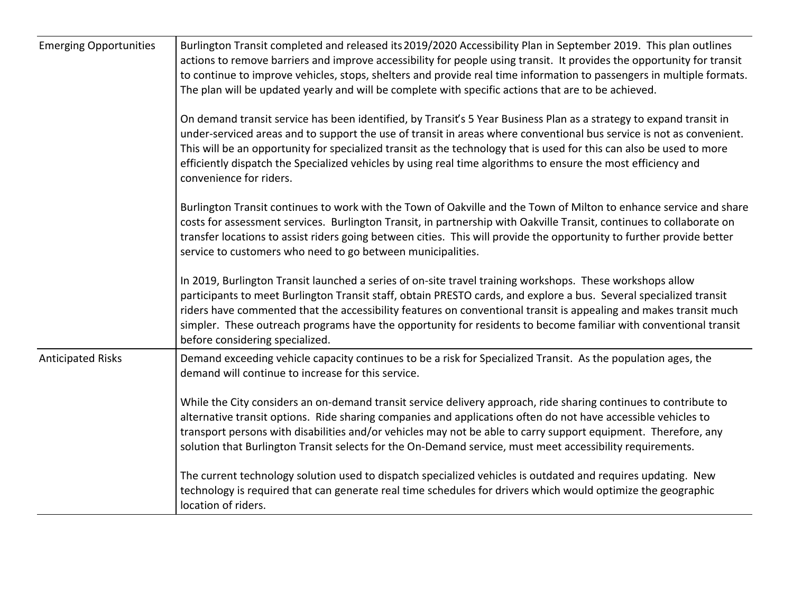| <b>Emerging Opportunities</b> | Burlington Transit completed and released its 2019/2020 Accessibility Plan in September 2019. This plan outlines<br>actions to remove barriers and improve accessibility for people using transit. It provides the opportunity for transit<br>to continue to improve vehicles, stops, shelters and provide real time information to passengers in multiple formats.<br>The plan will be updated yearly and will be complete with specific actions that are to be achieved.<br>On demand transit service has been identified, by Transit's 5 Year Business Plan as a strategy to expand transit in |
|-------------------------------|---------------------------------------------------------------------------------------------------------------------------------------------------------------------------------------------------------------------------------------------------------------------------------------------------------------------------------------------------------------------------------------------------------------------------------------------------------------------------------------------------------------------------------------------------------------------------------------------------|
|                               | under-serviced areas and to support the use of transit in areas where conventional bus service is not as convenient.<br>This will be an opportunity for specialized transit as the technology that is used for this can also be used to more<br>efficiently dispatch the Specialized vehicles by using real time algorithms to ensure the most efficiency and<br>convenience for riders.                                                                                                                                                                                                          |
|                               | Burlington Transit continues to work with the Town of Oakville and the Town of Milton to enhance service and share<br>costs for assessment services. Burlington Transit, in partnership with Oakville Transit, continues to collaborate on<br>transfer locations to assist riders going between cities. This will provide the opportunity to further provide better<br>service to customers who need to go between municipalities.                                                                                                                                                                |
|                               | In 2019, Burlington Transit launched a series of on-site travel training workshops. These workshops allow<br>participants to meet Burlington Transit staff, obtain PRESTO cards, and explore a bus. Several specialized transit<br>riders have commented that the accessibility features on conventional transit is appealing and makes transit much<br>simpler. These outreach programs have the opportunity for residents to become familiar with conventional transit<br>before considering specialized.                                                                                       |
| <b>Anticipated Risks</b>      | Demand exceeding vehicle capacity continues to be a risk for Specialized Transit. As the population ages, the<br>demand will continue to increase for this service.                                                                                                                                                                                                                                                                                                                                                                                                                               |
|                               | While the City considers an on-demand transit service delivery approach, ride sharing continues to contribute to<br>alternative transit options. Ride sharing companies and applications often do not have accessible vehicles to<br>transport persons with disabilities and/or vehicles may not be able to carry support equipment. Therefore, any<br>solution that Burlington Transit selects for the On-Demand service, must meet accessibility requirements.                                                                                                                                  |
|                               | The current technology solution used to dispatch specialized vehicles is outdated and requires updating. New<br>technology is required that can generate real time schedules for drivers which would optimize the geographic<br>location of riders.                                                                                                                                                                                                                                                                                                                                               |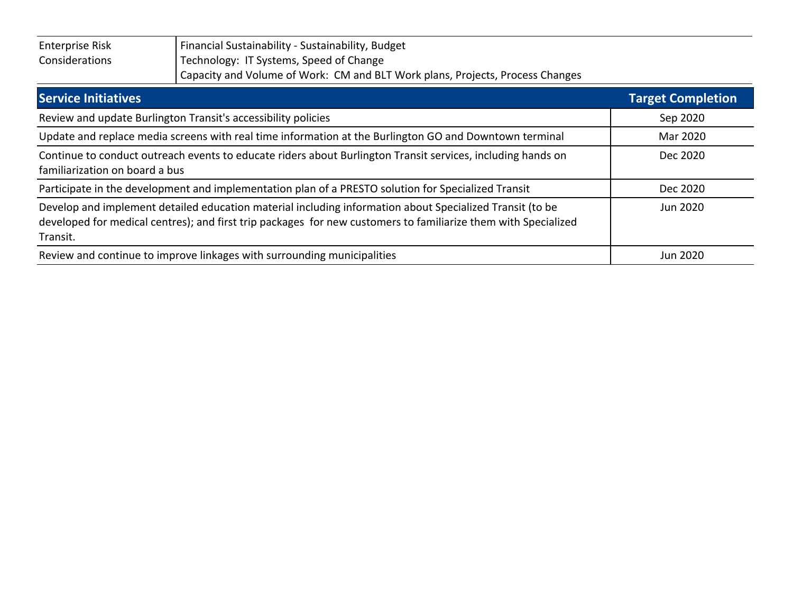| <b>Enterprise Risk</b> | Financial Sustainability - Sustainability, Budget                             |
|------------------------|-------------------------------------------------------------------------------|
| Considerations         | Technology: IT Systems, Speed of Change                                       |
|                        | Capacity and Volume of Work: CM and BLT Work plans, Projects, Process Changes |

| <b>Service Initiatives</b>                                                                                                                                                                                                             | <b>Target Completion</b> |
|----------------------------------------------------------------------------------------------------------------------------------------------------------------------------------------------------------------------------------------|--------------------------|
| Review and update Burlington Transit's accessibility policies                                                                                                                                                                          | Sep 2020                 |
| Update and replace media screens with real time information at the Burlington GO and Downtown terminal                                                                                                                                 | Mar 2020                 |
| Continue to conduct outreach events to educate riders about Burlington Transit services, including hands on<br>familiarization on board a bus                                                                                          | Dec 2020                 |
| Participate in the development and implementation plan of a PRESTO solution for Specialized Transit                                                                                                                                    | Dec 2020                 |
| Develop and implement detailed education material including information about Specialized Transit (to be<br>developed for medical centres); and first trip packages for new customers to familiarize them with Specialized<br>Transit. | Jun 2020                 |
| Review and continue to improve linkages with surrounding municipalities                                                                                                                                                                | <b>Jun 2020</b>          |